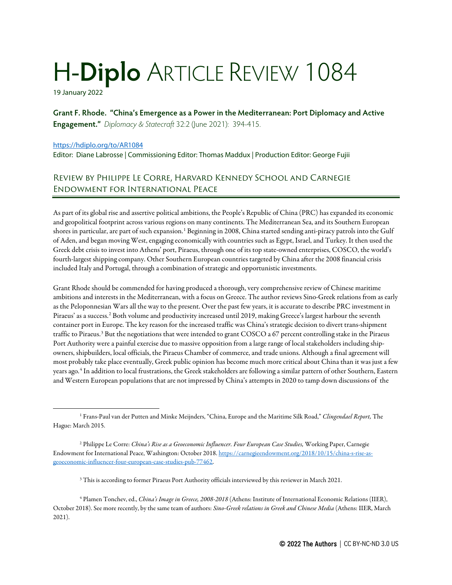## H-**Diplo** ARTICLE REVIEW 1084

19 January 2022

**Grant F. Rhode. "China's Emergence as a Power in the Mediterranean: Port Diplomacy and Active Engagement."** *Diplomacy & Statecraft* 32:2 (June 2021): 394-415.

## <https://hdiplo.org/to/AR1084>

Editor: Diane Labrosse | Commissioning Editor: Thomas Maddux | Production Editor: George Fujii

## Review by Philippe Le Corre, Harvard Kennedy School and Carnegie Endowment for International Peace

As part of its global rise and assertive political ambitions, the People's Republic of China (PRC) has expanded its economic and geopolitical footprint across various regions on many continents. The Mediterranean Sea, and its Southern European shores in particular, are part of such expansion.<sup>[1](#page-0-0)</sup> Beginning in 2008, China started sending anti-piracy patrols into the Gulf of Aden, and began moving West, engaging economically with countries such as Egypt, Israel, and Turkey. It then used the Greek debt crisis to invest into Athens' port, Piraeus, through one of its top state-owned enterprises, COSCO, the world's fourth-largest shipping company. Other Southern European countries targeted by China after the 2008 financial crisis included Italy and Portugal, through a combination of strategic and opportunistic investments.

Grant Rhode should be commended for having produced a thorough, very comprehensive review of Chinese maritime ambitions and interests in the Mediterranean, with a focus on Greece. The author reviews Sino-Greek relations from as early as the Peloponnesian Wars all the way to the present. Over the past few years, it is accurate to describe PRC investment in Piraeus' as a success.<sup>[2](#page-0-1)</sup> Both volume and productivity increased until 2019, making Greece's largest harbour the seventh container port in Europe. The key reason for the increased traffic was China's strategic decision to divert trans-shipment traffic to Piraeus.<sup>[3](#page-0-2)</sup> But the negotiations that were intended to grant COSCO a 67 percent controlling stake in the Piraeus Port Authority were a painful exercise due to massive opposition from a large range of local stakeholders including shipowners, shipbuilders, local officials, the Piraeus Chamber of commerce, and trade unions. Although a final agreement will most probably take place eventually, Greek public opinion has become much more critical about China than it was just a few years ago.[4](#page-0-3) In addition to local frustrations, the Greek stakeholders are following a similar pattern of other Southern, Eastern and Western European populations that are not impressed by China's attempts in 2020 to tamp down discussions of the

<span id="page-0-0"></span><sup>1</sup> Frans-Paul van der Putten and Minke Meijnders, "China, Europe and the Maritime Silk Road," *Clingendael Report,* The Hague: March 2015.

<span id="page-0-1"></span><sup>2</sup> Philippe Le Corre: *China's Rise as a Geoeconomic Influencer. Four European Case Studies,* Working Paper, Carnegie Endowment for International Peace, Washington: October 2018[. https://carnegieendowment.org/2018/10/15/china-s-rise-as](https://carnegieendowment.org/2018/10/15/china-s-rise-as-geoeconomic-influencer-four-european-case-studies-pub-77462)[geoeconomic-influencer-four-european-case-studies-pub-77462.](https://carnegieendowment.org/2018/10/15/china-s-rise-as-geoeconomic-influencer-four-european-case-studies-pub-77462)

<sup>&</sup>lt;sup>3</sup> This is according to former Piraeus Port Authority officials interviewed by this reviewer in March 2021.

<span id="page-0-3"></span><span id="page-0-2"></span><sup>4</sup> Plamen Tonchev, ed., *China's Image in Greece, 2008-2018* (Athens: Institute of International Economic Relations (IIER), October 2018). See more recently, by the same team of authors: *Sino-Greek relations in Greek and Chinese Media* (Athens: IIER, March 2021).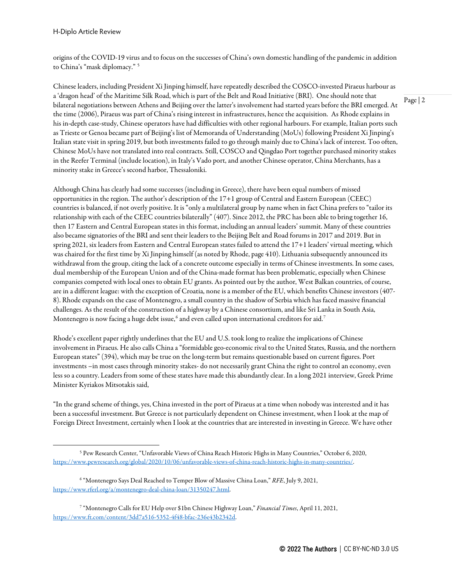origins of the COVID-19 virus and to focus on the successes of China's own domestic handling of the pandemic in addition to China's "mask diplomacy." [5](#page-1-0)

Chinese leaders, including President Xi Jinping himself, have repeatedly described the COSCO-invested Piraeus harbour as a 'dragon head' of the Maritime Silk Road, which is part of the Belt and Road Initiative (BRI). One should note that bilateral negotiations between Athens and Beijing over the latter's involvement had started years before the BRI emerged. At the time (2006), Piraeus was part of China's rising interest in infrastructures, hence the acquisition. As Rhode explains in his in-depth case-study, Chinese operators have had difficulties with other regional harbours. For example, Italian ports such as Trieste or Genoa became part of Beijing's list of Memoranda of Understanding (MoUs) following President Xi Jinping's Italian state visit in spring 2019, but both investments failed to go through mainly due to China's lack of interest. Too often, Chinese MoUs have not translated into real contracts. Still, COSCO and Qingdao Port together purchased minority stakes in the Reefer Terminal (include location), in Italy's Vado port, and another Chinese operator, China Merchants, has a minority stake in Greece's second harbor, Thessaloniki.

Although China has clearly had some successes (including in Greece), there have been equal numbers of missed opportunities in the region. The author's description of the 17+1 group of Central and Eastern European (CEEC) countries is balanced, if not overly positive. It is "only a multilateral group by name when in fact China prefers to "tailor its relationship with each of the CEEC countries bilaterally" (407). Since 2012, the PRC has been able to bring together 16, then 17 Eastern and Central European states in this format, including an annual leaders' summit. Many of these countries also became signatories of the BRI and sent their leaders to the Beijing Belt and Road forums in 2017 and 2019. But in spring 2021, six leaders from Eastern and Central European states failed to attend the 17+1 leaders' virtual meeting, which was chaired for the first time by Xi Jinping himself (as noted by Rhode, page 410). Lithuania subsequently announced its withdrawal from the group, citing the lack of a concrete outcome especially in terms of Chinese investments. In some cases, dual membership of the European Union and of the China-made format has been problematic, especially when Chinese companies competed with local ones to obtain EU grants. As pointed out by the author, West Balkan countries, of course, are in a different league: with the exception of Croatia, none is a member of the EU, which benefits Chinese investors (407- 8). Rhode expands on the case of Montenegro, a small country in the shadow of Serbia which has faced massive financial challenges. As the result of the construction of a highway by a Chinese consortium, and like Sri Lanka in South Asia, Montenegro is now facing a huge debt issue,<sup>[6](#page-1-1)</sup> and even called upon international creditors for aid.<sup>[7](#page-1-2)</sup>

Rhode's excellent paper rightly underlines that the EU and U.S. took long to realize the implications of Chinese involvement in Piraeus. He also calls China a "formidable geo-economic rival to the United States, Russia, and the northern European states" (394), which may be true on the long-term but remains questionable based on current figures. Port investments –in most cases through minority stakes- do not necessarily grant China the right to control an economy, even less so a country. Leaders from some of these states have made this abundantly clear. In a long 2021 interview, Greek Prime Minister Kyriakos Mitsotakis said,

"In the grand scheme of things, yes, China invested in the port of Piraeus at a time when nobody was interested and it has been a successful investment. But Greece is not particularly dependent on Chinese investment, when I look at the map of Foreign Direct Investment, certainly when I look at the countries that are interested in investing in Greece. We have other Page | 2

<span id="page-1-0"></span><sup>5</sup> Pew Research Center, "Unfavorable Views of China Reach Historic Highs in Many Countries," October 6, 2020, [https://www.pewresearch.org/global/2020/10/06/unfavorable-views-of-china-reach-historic-highs-in-many-countries/.](https://www.pewresearch.org/global/2020/10/06/unfavorable-views-of-china-reach-historic-highs-in-many-countries/)

<span id="page-1-1"></span><sup>6</sup> "Montenegro Says Deal Reached to Temper Blow of Massive China Loan," *RFE*, July 9, 2021, [https://www.rferl.org/a/montenegro-deal-china-loan/31350247.html.](https://www.rferl.org/a/montenegro-deal-china-loan/31350247.html) 

<span id="page-1-2"></span><sup>7</sup> "Montenegro Calls for EU Help over \$1bn Chinese Highway Loan," *Financial Times*, April 11, 2021, [https://www.ft.com/content/3dd7a516-5352-4f48-bfac-236e43b2342d.](https://www.ft.com/content/3dd7a516-5352-4f48-bfac-236e43b2342d)